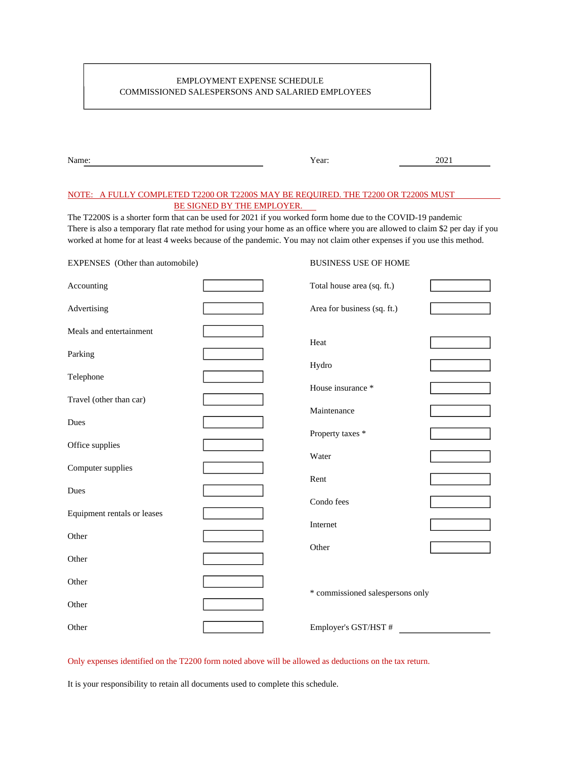## EMPLOYMENT EXPENSE SCHEDULE COMMISSIONED SALESPERSONS AND SALARIED EMPLOYEES

| Name: | Year: | 2021 |
|-------|-------|------|
|       |       |      |

## NOTE: A FULLY COMPLETED T2200 OR T2200S MAY BE REQUIRED. THE T2200 OR T2200S MUST BE SIGNED BY THE EMPLOYER.

The T2200S is a shorter form that can be used for 2021 if you worked form home due to the COVID-19 pandemic There is also a temporary flat rate method for using your home as an office where you are allowed to claim \$2 per day if you worked at home for at least 4 weeks because of the pandemic. You may not claim other expenses if you use this method.

**BUSINESS USE OF HOME** 

| EXPENSES (Other than automobile) |  | <b>BUSINESS USE OF HOME</b>      |  |  |
|----------------------------------|--|----------------------------------|--|--|
| Accounting                       |  | Total house area (sq. ft.)       |  |  |
| Advertising                      |  | Area for business (sq. ft.)      |  |  |
| Meals and entertainment          |  | Heat                             |  |  |
| Parking                          |  |                                  |  |  |
| Telephone                        |  | Hydro                            |  |  |
| Travel (other than car)          |  | House insurance *                |  |  |
| Dues                             |  | Maintenance                      |  |  |
| Office supplies                  |  | Property taxes *                 |  |  |
| Computer supplies                |  | Water                            |  |  |
| Dues                             |  | Rent                             |  |  |
| Equipment rentals or leases      |  | Condo fees                       |  |  |
| Other                            |  | Internet                         |  |  |
| Other                            |  | Other                            |  |  |
|                                  |  |                                  |  |  |
| Other                            |  | * commissioned salespersons only |  |  |
| Other                            |  |                                  |  |  |
| Other                            |  | Employer's GST/HST #             |  |  |

Only expenses identified on the T2200 form noted above will be allowed as deductions on the tax return.

It is your responsibility to retain all documents used to complete this schedule.